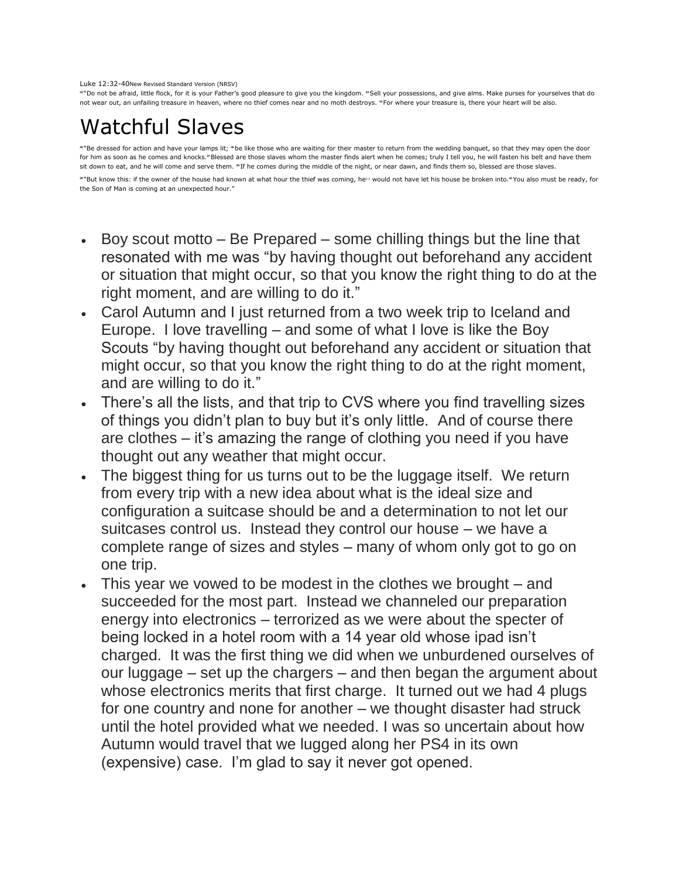## Luke 12:32-40New Revised Standard Version (NRSV)

**<sup>32</sup>** "Do not be afraid, little flock, for it is your Father's good pleasure to give you the kingdom. **<sup>33</sup>**Sell your possessions, and give alms. Make purses for yourselves that do not wear out, an unfailing treasure in heaven, where no thief comes near and no moth destroys. **<sup>34</sup>**For where your treasure is, there your heart will be also.

## Watchful Slaves

**<sup>35</sup>** "Be dressed for action and have your lamps lit; **<sup>36</sup>**be like those who are waiting for their master to return from the wedding banquet, so that they may open the door for him as soon as he comes and knocks.<sup>3</sup>Blessed are those slaves whom the master finds alert when he comes; truly I tell you, he will fasten his belt and have them sit down to eat, and he will come and serve them. <sup>»</sup>If he comes during the middle of the night, or near dawn, and finds them so, blessed are those slaves.

<sup>38</sup> But know this: if the owner of the house had known at what hour the thief was coming, he<sup>[\[a\]](https://www.biblegateway.com/passage/?search=Luke+12%3A32-40&version=NRSV#fen-NRSV-25491a)</sup> would not have let his house be broken into.<sup>40</sup>You also must be ready, for the Son of Man is coming at an unexpected hour.'

- Boy scout motto  $-$  Be Prepared  $-$  some chilling things but the line that resonated with me was "by having thought out beforehand any accident or situation that might occur, so that you know the right thing to do at the right moment, and are willing to do it."
- Carol Autumn and I just returned from a two week trip to Iceland and Europe. I love travelling – and some of what I love is like the Boy Scouts "by having thought out beforehand any accident or situation that might occur, so that you know the right thing to do at the right moment, and are willing to do it."
- There's all the lists, and that trip to CVS where you find travelling sizes of things you didn't plan to buy but it's only little. And of course there are clothes – it's amazing the range of clothing you need if you have thought out any weather that might occur.
- The biggest thing for us turns out to be the luggage itself. We return from every trip with a new idea about what is the ideal size and configuration a suitcase should be and a determination to not let our suitcases control us. Instead they control our house – we have a complete range of sizes and styles – many of whom only got to go on one trip.
- This year we vowed to be modest in the clothes we brought and succeeded for the most part. Instead we channeled our preparation energy into electronics – terrorized as we were about the specter of being locked in a hotel room with a 14 year old whose ipad isn't charged. It was the first thing we did when we unburdened ourselves of our luggage – set up the chargers – and then began the argument about whose electronics merits that first charge. It turned out we had 4 plugs for one country and none for another – we thought disaster had struck until the hotel provided what we needed. I was so uncertain about how Autumn would travel that we lugged along her PS4 in its own (expensive) case. I'm glad to say it never got opened.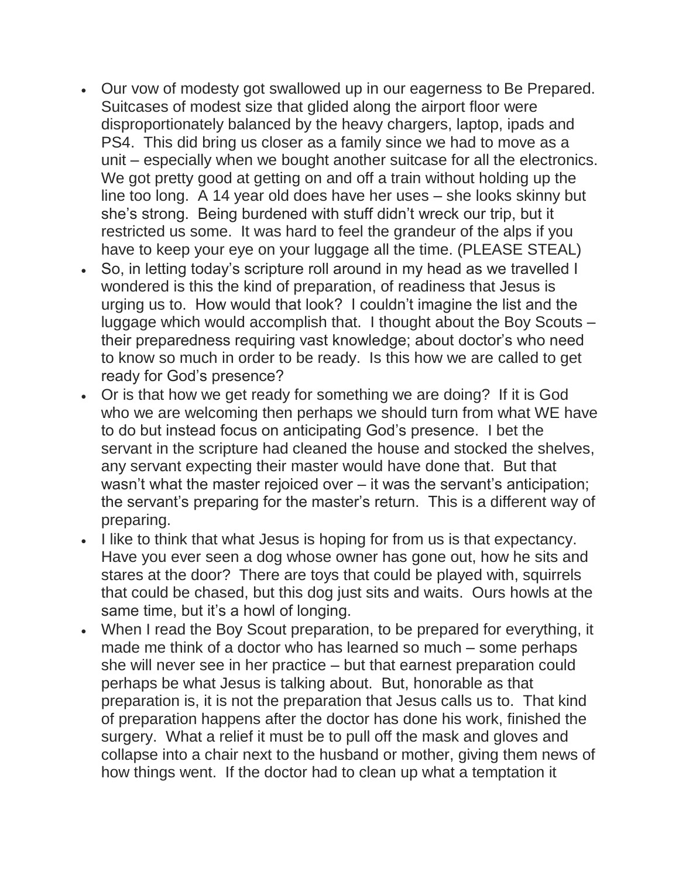- Our vow of modesty got swallowed up in our eagerness to Be Prepared. Suitcases of modest size that glided along the airport floor were disproportionately balanced by the heavy chargers, laptop, ipads and PS4. This did bring us closer as a family since we had to move as a unit – especially when we bought another suitcase for all the electronics. We got pretty good at getting on and off a train without holding up the line too long. A 14 year old does have her uses – she looks skinny but she's strong. Being burdened with stuff didn't wreck our trip, but it restricted us some. It was hard to feel the grandeur of the alps if you have to keep your eye on your luggage all the time. (PLEASE STEAL)
- So, in letting today's scripture roll around in my head as we travelled I wondered is this the kind of preparation, of readiness that Jesus is urging us to. How would that look? I couldn't imagine the list and the luggage which would accomplish that. I thought about the Boy Scouts – their preparedness requiring vast knowledge; about doctor's who need to know so much in order to be ready. Is this how we are called to get ready for God's presence?
- Or is that how we get ready for something we are doing? If it is God who we are welcoming then perhaps we should turn from what WE have to do but instead focus on anticipating God's presence. I bet the servant in the scripture had cleaned the house and stocked the shelves, any servant expecting their master would have done that. But that wasn't what the master rejoiced over – it was the servant's anticipation; the servant's preparing for the master's return. This is a different way of preparing.
- I like to think that what Jesus is hoping for from us is that expectancy. Have you ever seen a dog whose owner has gone out, how he sits and stares at the door? There are toys that could be played with, squirrels that could be chased, but this dog just sits and waits. Ours howls at the same time, but it's a howl of longing.
- When I read the Boy Scout preparation, to be prepared for everything, it made me think of a doctor who has learned so much – some perhaps she will never see in her practice – but that earnest preparation could perhaps be what Jesus is talking about. But, honorable as that preparation is, it is not the preparation that Jesus calls us to. That kind of preparation happens after the doctor has done his work, finished the surgery. What a relief it must be to pull off the mask and gloves and collapse into a chair next to the husband or mother, giving them news of how things went. If the doctor had to clean up what a temptation it